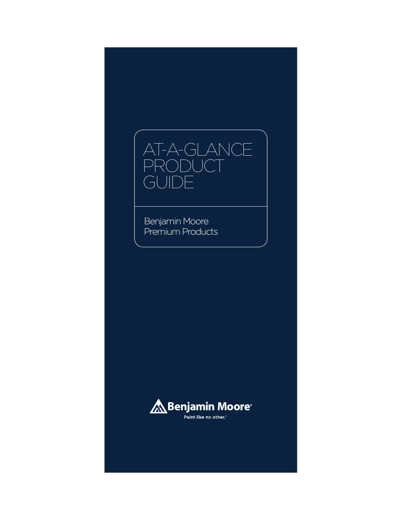

Benjamin Moore Premium Products

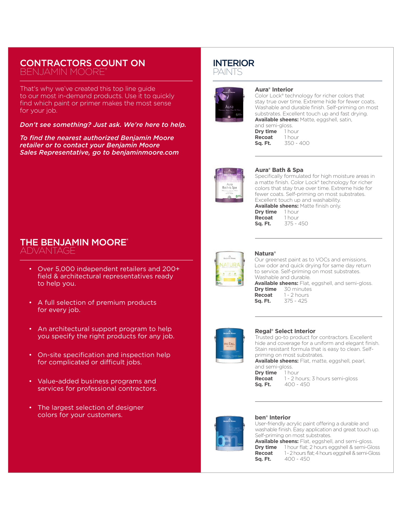# CONTRACTORS COUNT ON

BENJAMIN MOORE®

That's why we've created this top line guide to our most in-demand products. Use it to quickly find which paint or primer makes the most sense for your job.

*Don't see something? Just ask. We're here to help.*

*To find the nearest authorized Benjamin Moore retailer or to contact your Benjamin Moore Sales Representative, go to benjaminmoore.com*

## THE BENJAMIN MOORE® ADVANTAGE

- Over 5,000 independent retailers and 200+ field & architectural representatives ready to help you.
- A full selection of premium products for every job.
- An architectural support program to help you specify the right products for any job.
- On-site specification and inspection help for complicated or difficult jobs.
- Value-added business programs and services for professional contractors.
- The largest selection of designer colors for your customers.

# INTERIOR

PAINTS



#### **Aura® Interior**

Color Lock® technology for richer colors that stay true over time. Extreme hide for fewer coats. Washable and durable finish. Self-priming on most substrates. Excellent touch up and fast drying. **Available sheens:** Matte, eggshell, satin,

and semi-gloss.<br>**Dry time** 1 hour **Dry time** 1 hour<br>**Recoat** 1 hour **Recoat**<br>Sq. Ft. **Sq. Ft.** 350 - 400



#### **Aura® Bath & Spa**

Specifically formulated for high moisture areas in a matte finish. Color Lock® technology for richer colors that stay true over time. Extreme hide for fewer coats. Self-priming on most substrates. Excellent touch up and washability.

**Available sheens:** Matte finish only.<br>**Drv time** 1 hour **Dry time** 1 hour<br>**Recoat** 1 hour **Recoat**<br>Sq. Ft. **Sq. Ft.** 375 - 450



## **Natura®**

Our greenest paint as to VOCs and emissions. Low odor and quick drying for same day return to service. Self-priming on most substrates. Washable and durable. Available sheens: Flat, eggshell, and semi-gloss.<br>**Dry time** 30 minutes **Dry time** 30 minutes<br>**Recoat** 1 - 2 hours **Recoat** 1 - 2 hours<br>**Sq. Ft.** 375 - 425 **Sq. Ft.** 375 - 425



#### **Regal® Select Interior**

Trusted go-to product for contractors. Excellent hide and coverage for a uniform and elegant finish. Stain resistant formula that is easy to clean. Selfpriming on most substrates.

**Available sheens:** Flat, matte, eggshell, pearl, and semi-gloss.

**Dry time** 1 hour<br>**Recoat** 1 - 2 hour **Recoat** 1 - 2 hours; 3 hours semi-gloss<br>**Sq. Ft.** 400 - 450 **Sq. Ft.** 400 - 450



#### **ben® Interior**

User-friendly acrylic paint offering a durable and washable finish. Easy application and great touch up. Self-priming on most substrates.

**Available sheens:** Flat, eggshell, and semi-gloss. **Dry time** 1 hour flat; 2 hours eggshell & semi-Gloss<br>**Recoat** 1 - 2 hours flat: 4 hours eggshell & semi-Gloss **Recoat** 1 - 2 hours flat; 4 hours eggshell & semi-Gloss<br>**Sq. Ft.** 400 - 450  $400 - 450$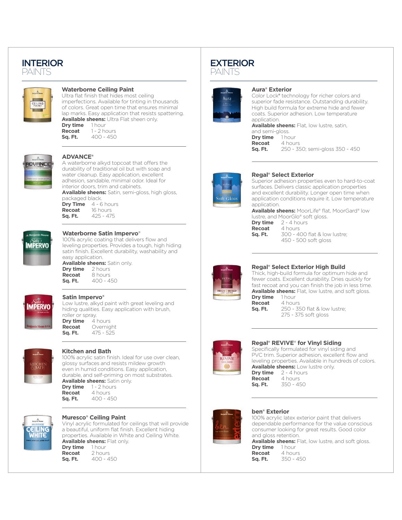# INTERIOR

PAINTS



#### **Waterborne Ceiling Paint**

Ultra flat finish that hides most ceiling imperfections. Available for tinting in thousands of colors. Great open time that ensures minimal lap marks. Easy application that resists spattering. **Available sheens:** Ultra Flat sheen only.<br>**Drv time** 1 hour **Drv** time **Recoat** 1 - 2 hours<br>**Sq. Ft.** 400 - 450 **Sq. Ft.** 400 - 450



#### **ADVANCE®**

A waterborne alkyd topcoat that offers the durability of traditional oil but with soap and water cleanup. Easy application, excellent adhesion, sandable, minimal odor. Ideal for interior doors, trim and cabinets.

**Available sheens:** Satin, semi-gloss, high gloss, packaged black.

| <b>Drv Time</b> | $4 - 6$ hours |
|-----------------|---------------|
| Recoat          | 16 hours      |
| Sq. Ft.         | $425 - 475$   |
|                 |               |



#### **Waterborne Satin Impervo**®

100% acrylic coating that delivers flow and leveling properties. Provides a tough, high hiding satin finish. Excellent durability, washability and easy application.

**Available sheens:** Satin only. **Dry time**<br>Recoat **Recoat** 8 hours<br>**Sq. Ft.** 400 - 4 **Sq. Ft.** 400 - 450



## **Satin Impervo®**

Low lustre, alkyd paint with great leveling and hiding qualities. Easy application with brush, roller or spray.<br>**Dry time** 4 hours **Dry time Recoat** Overnight<br>**Sq. Ft.** 475 - 525 **Sq. Ft.** 475 - 525



#### **Kitchen and Bath**

100% acrylic satin finish. Ideal for use over clean, glossy surfaces and resists mildew growth even in humid conditions. Easy application, durable, and self-priming on most substrates. **Available sheens:** Satin only. **Dry time** 1 - 2 hours **Recoat** 4 hours **Sq. Ft.** 400 - 450



## **Muresco® Ceiling Paint**

Vinyl acrylic formulated for ceilings that will provide a beautiful, uniform flat finish. Excellent hiding properties. Available in White and Ceiling White. **Available sheens: Flat only.**<br>**Drv time** 1 hour **Dry time** 1 hour<br>**Recoat** 2 hours **Recoat**<br>Sq. Ft. **Sq. Ft.** 400 - 450

# EXTERIOR

PAINTS



#### **Aura® Exterior**

Color Lock**®** technology for richer colors and superior fade resistance. Outstanding durability. High build formula for extreme hide and fewer coats. Superior adhesion. Low temperature application.

**Available sheens:** Flat, low lustre, satin, and semi-gloss.<br>**Dry time** 1 hour **Dry time**<br>Recoat **Recoat** 4 hours<br>**Sq. Ft.** 250 - 39 **Sq. Ft.** 250 - 350; semi-gloss 350 - 450



#### **Regal® Select Exterior**

Superior adhesion properties even to hard-to-coat surfaces. Delivers classic application properties and excellent durability. Longer open time when application conditions require it. Low temperature application.

**Available sheens:** MoorLife® flat, MoorGard® low lustre, and MoorGlo® soft gloss. **Dry time** 2 - 4 hours

| Dry tim |  |
|---------|--|
| Recoat  |  |
| Sq. Ft. |  |
|         |  |

**Recoat** 4 hours **Sq. Ft.** 300 - 400 flat & low lustre; 450 - 500 soft gloss



## **Regal® Select Exterior High Build**

Thick, high-build formula for optimum hide and fewer coats. Excellent durability. Dries quickly for fast recoat and you can finish the job in less time. **Available sheens:** Flat, low lustre, and soft gloss.<br>**Drv time** 1 hour **Dry time** 1 hour<br>**Recoat** 4 hours

**Recoat**<br>Sq. Ft.

**Sq. Ft.** 250 - 350 flat & low lustre; 275 - 375 soft gloss



## **Regal® REVIVE**® **for Vinyl Siding**

Specifically formulated for vinyl siding and PVC trim. Superior adhesion, excellent flow and leveling properties. Available in hundreds of colors. **Available sheens:** Low lustre only. **Dry time** 2 - 4 hours<br>**Recoat** 4 hours **Recoat** 

**Sq. Ft.** 350 - 450



## **ben® Exterior**

100% acrylic latex exterior paint that delivers dependable performance for the value conscious consumer looking for great results. Good color and gloss retention.

**Available sheens:** Flat, low lustre, and soft gloss.<br>**Drv time** 1 hour **Dry time**<br>Recoat **Recoat** 4 hours<br>**Sq. Ft.** 350 - 4  $350 - 450$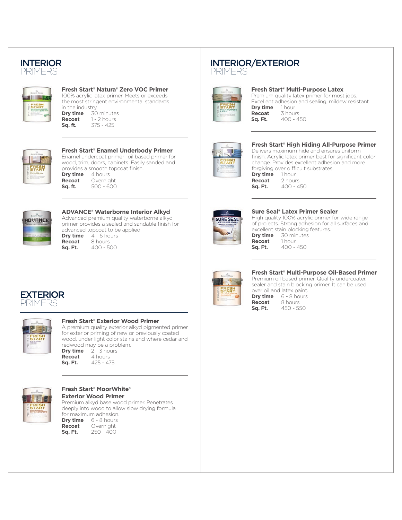# INTERIOR

PRIMERS



#### **Fresh Start® Natura® Zero VOC Primer**

100% acrylic latex primer. Meets or exceeds the most stringent environmental standards in the industry.<br>**Dry time**  $\frac{30}{2}$ **Dry time** 30 minutes<br>**Recoat** 1 - 2 hours **Recoat** 1 - 2 hours<br>**Sq. ft.** 375 - 425 **Sq. ft.** 375 - 425



## **Fresh Start® Enamel Underbody Primer** Enamel undercoat primer- oil based primer for wood, trim, doors, cabinets. Easily sanded and provides a smooth topcoat finish.<br>**Dry time** 4 hours **Dry time**<br>Recoat

**Recoat** Overnight<br>**Sq. ft.** 500 - 600 **Sq. ft.** 500 - 600



#### **ADVANCE® Waterborne Interior Alkyd** Advanced premium quality waterborne alkyd primer provides a sealed and sandable finish for advanced topcoat to be applied.<br>**Dry time** 4 - 6 hours **Dry time** 4 - 6 hours<br>**Recoat** 8 hours **Recoat** 8 hours<br>**Sq. Ft.** 400 - 50 **Sq. Ft.** 400 - 500

INTERIOR/EXTERIOR



PRIMERS

#### **Fresh Start® Multi-Purpose Latex** Premium quality latex primer for most jobs.

Excellent adhesion and sealing, mildew resistant.<br> **Drv time** 1 hour **Dry time** 1 hour<br>**Recoat** 3 hours **Recoat**<br>Sq. Ft. **Sq. Ft.** 400 - 450



#### **Fresh Start® High Hiding All-Purpose Primer**

Delivers maximum hide and ensures uniform finish. Acrylic latex primer best for significant color change. Provides excellent adhesion and more forgiving over difficult substrates.

**Dry time** 1 hour<br>**Recoat** 2 hours **Recoat**<br>Sq. Ft. **Sq. Ft.** 400 - 450



#### **Sure Seal® Latex Primer Sealer**

High quality 100% acrylic primer for wide range of projects. Strong adhesion for all surfaces and excellent stain blocking features. **Dry time** 30 minutes<br>**Recoat** 1 hour

Recoat **Sq. Ft.** 400 - 450

## **Fresh Start® Multi-Purpose Oil-Based Primer**

Premium oil based primer. Quality undercoater, sealer and stain blocking primer. It can be used over oil and latex paint. **Dry time** 6 - 8 hours<br>**Recoat** 8 hours



**Recoat** 8 hours<br>**Sq. Ft.** 450 - 55 **Sq. Ft.** 450 - 550

## EXTERIOR PRIMERS



## **Fresh Start® Exterior Wood Primer**

A premium quality exterior alkyd pigmented primer for exterior priming of new or previously coated wood, under light color stains and where cedar and redwood may be a problem.<br>**Drv time**  $2 - 3$  hours **Dry time**  $2 - 3$  hours<br>**Recoat** 4 hours **Recoat** 4 hours<br>**Sq. Ft.** 425 - 47 **Sq. Ft.** 425 - 475



#### **Fresh Start® MoorWhite® Exterior Wood Primer** Premium alkyd base wood primer. Penetrates

deeply into wood to allow slow drying formula for maximum adhesion.<br>**Drv time**  $6 - 8$  hours **Dry time** 6 - 8 hours<br>**Recoat** Overnight **Recoat** Overnight<br>**Sq. Ft.** 250 - 400 **Sq. Ft.** 250 - 400